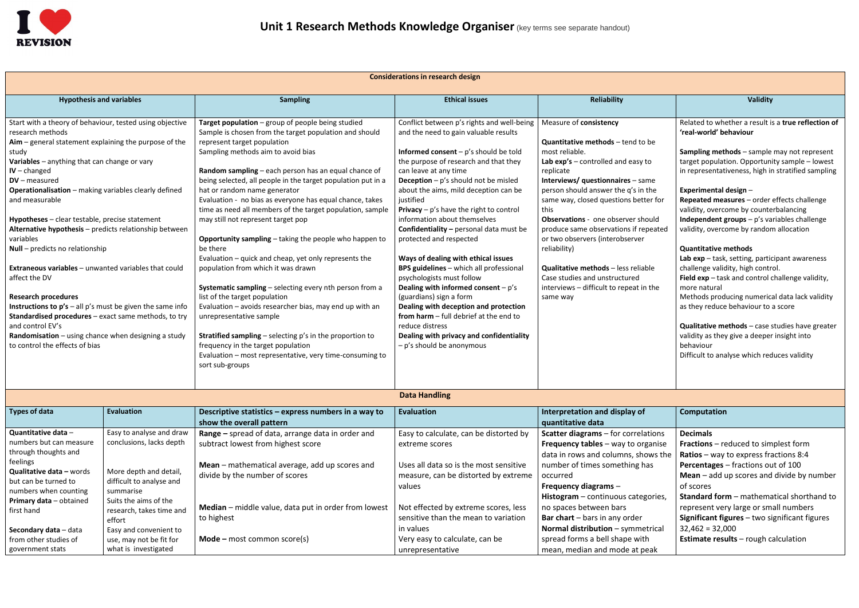

| <b>Considerations in research design</b>                                                                                                                                                                                                                                                                                                                                                                                                                                                                                                                                                                                                                                                                                                                                                                                                                   |                                                                                                                                                  |                                                                                                                                                                                                                                                                                                                                                                                                                                                                                                                                                                                                                                                                                                                                                                                                                                                                                                                                                                                                                                                             |                                                                                                                                                                                                                                                                                                                                                                                                                                                                                                                                                                                                                                                                                                                                                                                                                                                  |                                                                                                                                                                                                                                                                                                                                                                                                                                                                                                                                                              |                                                                                                                                                                                                                                                                                                                                                                                                                                                                                                                                                                                                                                                                                                                                                                                                                                                                                                       |  |  |  |
|------------------------------------------------------------------------------------------------------------------------------------------------------------------------------------------------------------------------------------------------------------------------------------------------------------------------------------------------------------------------------------------------------------------------------------------------------------------------------------------------------------------------------------------------------------------------------------------------------------------------------------------------------------------------------------------------------------------------------------------------------------------------------------------------------------------------------------------------------------|--------------------------------------------------------------------------------------------------------------------------------------------------|-------------------------------------------------------------------------------------------------------------------------------------------------------------------------------------------------------------------------------------------------------------------------------------------------------------------------------------------------------------------------------------------------------------------------------------------------------------------------------------------------------------------------------------------------------------------------------------------------------------------------------------------------------------------------------------------------------------------------------------------------------------------------------------------------------------------------------------------------------------------------------------------------------------------------------------------------------------------------------------------------------------------------------------------------------------|--------------------------------------------------------------------------------------------------------------------------------------------------------------------------------------------------------------------------------------------------------------------------------------------------------------------------------------------------------------------------------------------------------------------------------------------------------------------------------------------------------------------------------------------------------------------------------------------------------------------------------------------------------------------------------------------------------------------------------------------------------------------------------------------------------------------------------------------------|--------------------------------------------------------------------------------------------------------------------------------------------------------------------------------------------------------------------------------------------------------------------------------------------------------------------------------------------------------------------------------------------------------------------------------------------------------------------------------------------------------------------------------------------------------------|-------------------------------------------------------------------------------------------------------------------------------------------------------------------------------------------------------------------------------------------------------------------------------------------------------------------------------------------------------------------------------------------------------------------------------------------------------------------------------------------------------------------------------------------------------------------------------------------------------------------------------------------------------------------------------------------------------------------------------------------------------------------------------------------------------------------------------------------------------------------------------------------------------|--|--|--|
| <b>Hypothesis and variables</b>                                                                                                                                                                                                                                                                                                                                                                                                                                                                                                                                                                                                                                                                                                                                                                                                                            |                                                                                                                                                  | <b>Sampling</b>                                                                                                                                                                                                                                                                                                                                                                                                                                                                                                                                                                                                                                                                                                                                                                                                                                                                                                                                                                                                                                             | <b>Ethical issues</b>                                                                                                                                                                                                                                                                                                                                                                                                                                                                                                                                                                                                                                                                                                                                                                                                                            | <b>Reliability</b>                                                                                                                                                                                                                                                                                                                                                                                                                                                                                                                                           | <b>Validity</b>                                                                                                                                                                                                                                                                                                                                                                                                                                                                                                                                                                                                                                                                                                                                                                                                                                                                                       |  |  |  |
| Start with a theory of behaviour, tested using objective<br>research methods<br>$A$ im – general statement explaining the purpose of the<br>study<br>Variables - anything that can change or vary<br>$IV$ – changed<br>$DV$ – measured<br>Operationalisation - making variables clearly defined<br>and measurable<br>Hypotheses - clear testable, precise statement<br>Alternative hypothesis - predicts relationship between<br>variables<br>Null - predicts no relationship<br><b>Extraneous variables</b> - unwanted variables that could<br>affect the DV<br><b>Research procedures</b><br><b>Instructions to <math>p's</math></b> – all $p's$ must be given the same info<br><b>Standardised procedures</b> – exact same methods, to try<br>and control EV's<br>Randomisation - using chance when designing a study<br>to control the effects of bias |                                                                                                                                                  | Target population - group of people being studied<br>Sample is chosen from the target population and should<br>represent target population<br>Sampling methods aim to avoid bias<br>Random sampling - each person has an equal chance of<br>being selected, all people in the target population put in a<br>hat or random name generator<br>Evaluation - no bias as everyone has equal chance, takes<br>time as need all members of the target population, sample<br>may still not represent target pop<br>Opportunity sampling - taking the people who happen to<br>be there<br>Evaluation - quick and cheap, yet only represents the<br>population from which it was drawn<br>Systematic sampling - selecting every nth person from a<br>list of the target population<br>Evaluation - avoids researcher bias, may end up with an<br>unrepresentative sample<br><b>Stratified sampling</b> $-$ selecting $p$ 's in the proportion to<br>frequency in the target population<br>Evaluation - most representative, very time-consuming to<br>sort sub-groups | Conflict between p's rights and well-being<br>and the need to gain valuable results<br><b>Informed consent</b> – $p's$ should be told<br>the purpose of research and that they<br>can leave at any time<br><b>Deception</b> $- p's$ should not be misled<br>about the aims, mild deception can be<br>justified<br><b>Privacy</b> – $p's$ have the right to control<br>information about themselves<br><b>Confidentiality - personal data must be</b><br>protected and respected<br>Ways of dealing with ethical issues<br>BPS guidelines - which all professional<br>psychologists must follow<br>Dealing with informed consent $-p's$<br>(guardians) sign a form<br>Dealing with deception and protection<br>from harm - full debrief at the end to<br>reduce distress<br>Dealing with privacy and confidentiality<br>- p's should be anonymous | Measure of consistency<br><b>Quantitative methods</b> - tend to be<br>most reliable.<br>Lab $exp's$ – controlled and easy to<br>replicate<br><b>Interviews/ questionnaires</b> - same<br>person should answer the q's in the<br>same way, closed questions better for<br>this<br><b>Observations</b> - one observer should<br>produce same observations if repeated<br>or two observers (interobserver<br>reliability)<br><b>Qualitative methods</b> - less reliable<br>Case studies and unstructured<br>interviews - difficult to repeat in the<br>same way | Related to whether a result is a true reflection of<br>'real-world' behaviour<br>Sampling methods - sample may not represent<br>target population. Opportunity sample - lowest<br>in representativeness, high in stratified sampling<br>Experimental design -<br>Repeated measures - order effects challenge<br>validity, overcome by counterbalancing<br>Independent groups - p's variables challenge<br>validity, overcome by random allocation<br><b>Quantitative methods</b><br>Lab $exp - task$ , setting, participant awareness<br>challenge validity, high control.<br>Field exp - task and control challenge validity,<br>more natural<br>Methods producing numerical data lack validity<br>as they reduce behaviour to a score<br>Qualitative methods - case studies have greater<br>validity as they give a deeper insight into<br>behaviour<br>Difficult to analyse which reduces validity |  |  |  |
| <b>Data Handling</b>                                                                                                                                                                                                                                                                                                                                                                                                                                                                                                                                                                                                                                                                                                                                                                                                                                       |                                                                                                                                                  |                                                                                                                                                                                                                                                                                                                                                                                                                                                                                                                                                                                                                                                                                                                                                                                                                                                                                                                                                                                                                                                             |                                                                                                                                                                                                                                                                                                                                                                                                                                                                                                                                                                                                                                                                                                                                                                                                                                                  |                                                                                                                                                                                                                                                                                                                                                                                                                                                                                                                                                              |                                                                                                                                                                                                                                                                                                                                                                                                                                                                                                                                                                                                                                                                                                                                                                                                                                                                                                       |  |  |  |
| Types of data                                                                                                                                                                                                                                                                                                                                                                                                                                                                                                                                                                                                                                                                                                                                                                                                                                              | <b>Evaluation</b>                                                                                                                                | Descriptive statistics - express numbers in a way to<br>show the overall pattern                                                                                                                                                                                                                                                                                                                                                                                                                                                                                                                                                                                                                                                                                                                                                                                                                                                                                                                                                                            | Evaluation                                                                                                                                                                                                                                                                                                                                                                                                                                                                                                                                                                                                                                                                                                                                                                                                                                       | Interpretation and display of<br>quantitative data                                                                                                                                                                                                                                                                                                                                                                                                                                                                                                           | Computation                                                                                                                                                                                                                                                                                                                                                                                                                                                                                                                                                                                                                                                                                                                                                                                                                                                                                           |  |  |  |
| Quantitative data -<br>numbers but can measure<br>through thoughts and<br>feelings<br>Qualitative data - words<br>but can be turned to<br>numbers when counting<br>Primary data - obtained                                                                                                                                                                                                                                                                                                                                                                                                                                                                                                                                                                                                                                                                 | Easy to analyse and draw<br>conclusions, lacks depth<br>More depth and detail,<br>difficult to analyse and<br>summarise<br>Suits the aims of the | Range - spread of data, arrange data in order and<br>subtract lowest from highest score<br>Mean - mathematical average, add up scores and<br>divide by the number of scores<br>Median - middle value, data put in order from lowest                                                                                                                                                                                                                                                                                                                                                                                                                                                                                                                                                                                                                                                                                                                                                                                                                         | Easy to calculate, can be distorted by<br>extreme scores<br>Uses all data so is the most sensitive<br>measure, can be distorted by extreme<br>values<br>Not effected by extreme scores, less                                                                                                                                                                                                                                                                                                                                                                                                                                                                                                                                                                                                                                                     | <b>Scatter diagrams</b> - for correlations<br><b>Frequency tables</b> $-$ way to organise<br>data in rows and columns, shows the<br>number of times something has<br>occurred<br>Frequency diagrams $-$<br>Histogram - continuous categories,<br>no spaces between bars                                                                                                                                                                                                                                                                                      | <b>Decimals</b><br>Fractions - reduced to simplest form<br>Ratios – way to express fractions $8:4$<br>Percentages - fractions out of 100<br><b>Mean</b> $-$ add up scores and divide by number<br>of scores<br><b>Standard form</b> - mathematical shorthand to<br>represent very large or small numbers                                                                                                                                                                                                                                                                                                                                                                                                                                                                                                                                                                                              |  |  |  |
| first hand<br>Secondary data - data<br>from other studies of<br>government stats                                                                                                                                                                                                                                                                                                                                                                                                                                                                                                                                                                                                                                                                                                                                                                           | research, takes time and<br>effort<br>Easy and convenient to<br>use, may not be fit for<br>what is investigated                                  | to highest<br>$Mode - most common score(s)$                                                                                                                                                                                                                                                                                                                                                                                                                                                                                                                                                                                                                                                                                                                                                                                                                                                                                                                                                                                                                 | sensitive than the mean to variation<br>in values<br>Very easy to calculate, can be<br>unrepresentative                                                                                                                                                                                                                                                                                                                                                                                                                                                                                                                                                                                                                                                                                                                                          | Bar chart - bars in any order<br>Normal distribution - symmetrical<br>spread forms a bell shape with<br>mean, median and mode at peak                                                                                                                                                                                                                                                                                                                                                                                                                        | Significant figures - two significant figures<br>$32,462 = 32,000$<br><b>Estimate results</b> - rough calculation                                                                                                                                                                                                                                                                                                                                                                                                                                                                                                                                                                                                                                                                                                                                                                                     |  |  |  |